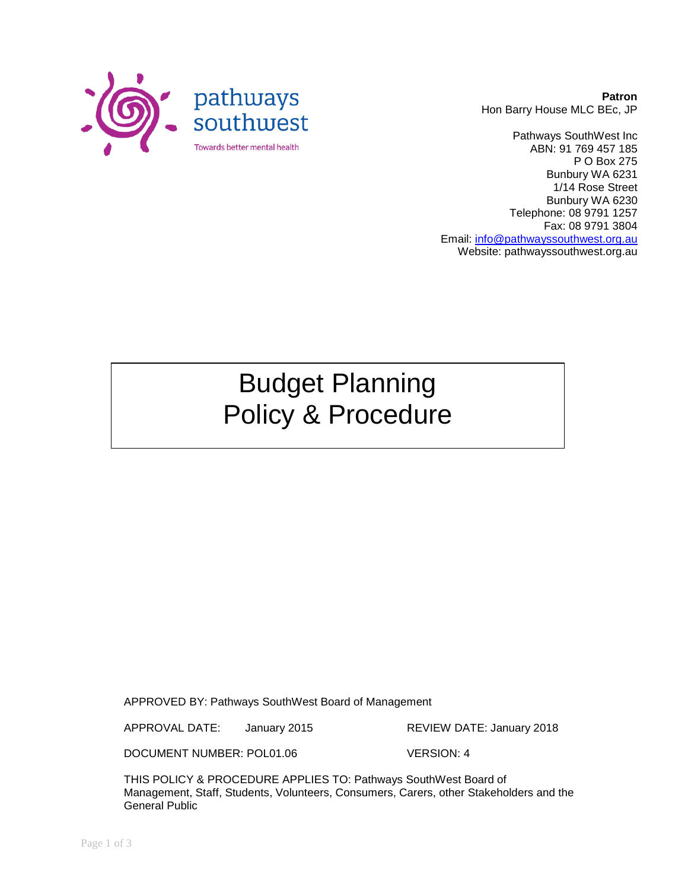

**Patron** Hon Barry House MLC BEc, JP

Pathways SouthWest Inc ABN: 91 769 457 185 P O Box 275 Bunbury WA 6231 1/14 Rose Street Bunbury WA 6230 Telephone: 08 9791 1257 Fax: 08 9791 3804 Email: [info@pathwayssouthwest.org.au](mailto:info@pathwayssouthwest.org.au) Website: pathwayssouthwest.org.au

# Budget Planning Policy & Procedure

APPROVED BY: Pathways SouthWest Board of Management

APPROVAL DATE: January 2015 REVIEW DATE: January 2018

DOCUMENT NUMBER: POL01.06 VERSION: 4

THIS POLICY & PROCEDURE APPLIES TO: Pathways SouthWest Board of Management, Staff, Students, Volunteers, Consumers, Carers, other Stakeholders and the General Public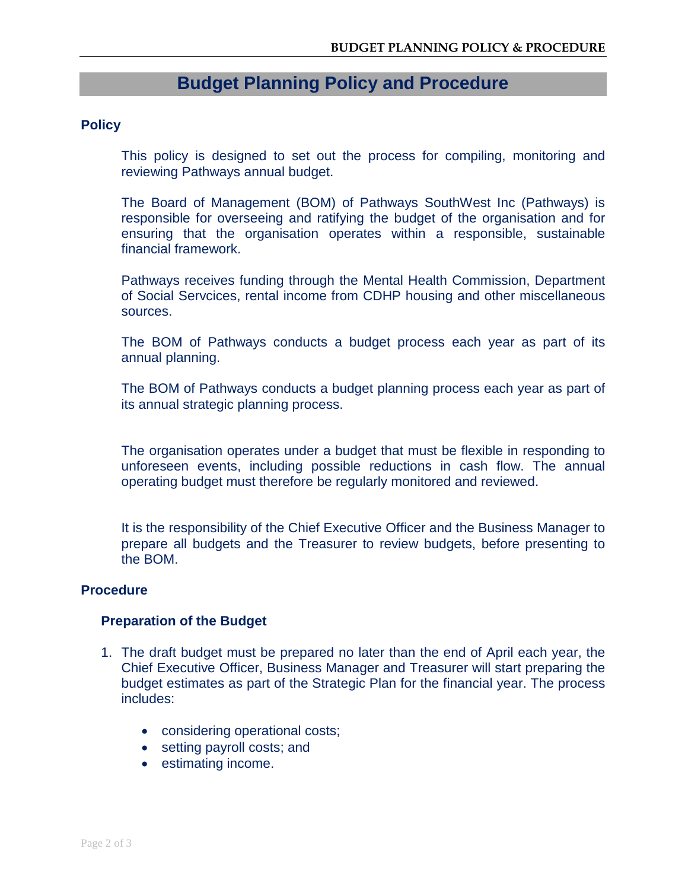# **Budget Planning Policy and Procedure**

### **Policy**

This policy is designed to set out the process for compiling, monitoring and reviewing Pathways annual budget.

The Board of Management (BOM) of Pathways SouthWest Inc (Pathways) is responsible for overseeing and ratifying the budget of the organisation and for ensuring that the organisation operates within a responsible, sustainable financial framework.

Pathways receives funding through the Mental Health Commission, Department of Social Servcices, rental income from CDHP housing and other miscellaneous sources.

The BOM of Pathways conducts a budget process each year as part of its annual planning.

The BOM of Pathways conducts a budget planning process each year as part of its annual strategic planning process.

The organisation operates under a budget that must be flexible in responding to unforeseen events, including possible reductions in cash flow. The annual operating budget must therefore be regularly monitored and reviewed.

It is the responsibility of the Chief Executive Officer and the Business Manager to prepare all budgets and the Treasurer to review budgets, before presenting to the BOM.

#### **Procedure**

#### **Preparation of the Budget**

- 1. The draft budget must be prepared no later than the end of April each year, the Chief Executive Officer, Business Manager and Treasurer will start preparing the budget estimates as part of the Strategic Plan for the financial year. The process includes:
	- considering operational costs;
	- setting payroll costs; and
	- estimating income.